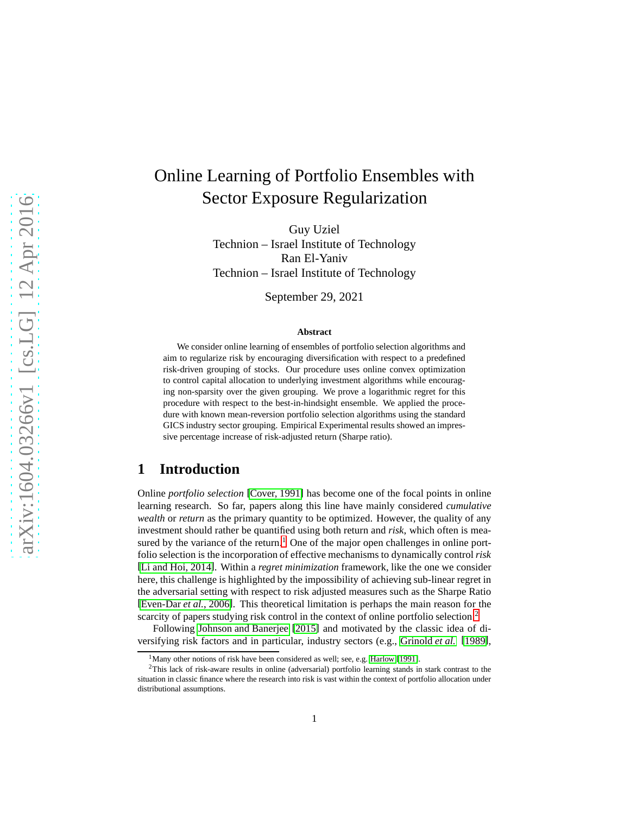# Online Learning of Portfolio Ensembles with Sector Exposure Regularization

Guy Uziel Technion – Israel Institute of Technology Ran El-Yaniv Technion – Israel Institute of Technology

September 29, 2021

#### **Abstract**

We consider online learning of ensembles of portfolio selection algorithms and aim to regularize risk by encouraging diversification with respect to a predefined risk-driven grouping of stocks. Our procedure uses online convex optimization to control capital allocation to underlying investment algorithms while encouraging non-sparsity over the given grouping. We prove a logarithmic regret for this procedure with respect to the best-in-hindsight ensemble. We applied the procedure with known mean-reversion portfolio selection algorithms using the standard GICS industry sector grouping. Empirical Experimental results showed an impressive percentage increase of risk-adjusted return (Sharpe ratio).

# **1 Introduction**

Online *portfolio selection* [\[Cover, 1991\]](#page-10-0) has become one of the focal points in online learning research. So far, papers along this line have mainly considered *cumulative wealth* or *return* as the primary quantity to be optimized. However, the quality of any investment should rather be quantified using both return and *risk*, which often is mea-sured by the variance of the return.<sup>[1](#page-0-0)</sup> One of the major open challenges in online portfolio selection is the incorporation of effective mechanisms to dynamically control *risk* [\[Li and Hoi, 2014\]](#page-11-0). Within a *regret minimization* framework, like the one we consider here, this challenge is highlighted by the impossibility of achieving sub-linear regret in the adversarial setting with respect to risk adjusted measures such as the Sharpe Ratio [\[Even-Dar](#page-11-1) *et al.*, 2006]. This theoretical limitation is perhaps the main reason for the scarcity of papers studying risk control in the context of online portfolio selection.<sup>[2](#page-0-1)</sup>

Following [Johnson and Banerjee](#page-11-2) [\[2015\]](#page-11-2) and motivated by the classic idea of diversifying risk factors and in particular, industry sectors (e.g., [Grinold](#page-11-3) *et al.* [\[1989\]](#page-11-3),

<span id="page-0-0"></span><sup>&</sup>lt;sup>1</sup>Many other notions of risk have been considered as well; see, e.g. [Harlow](#page-11-4) [\[1991\]](#page-11-4).

<span id="page-0-1"></span><sup>2</sup>This lack of risk-aware results in online (adversarial) portfolio learning stands in stark contrast to the situation in classic finance where the research into risk is vast within the context of portfolio allocation under distributional assumptions.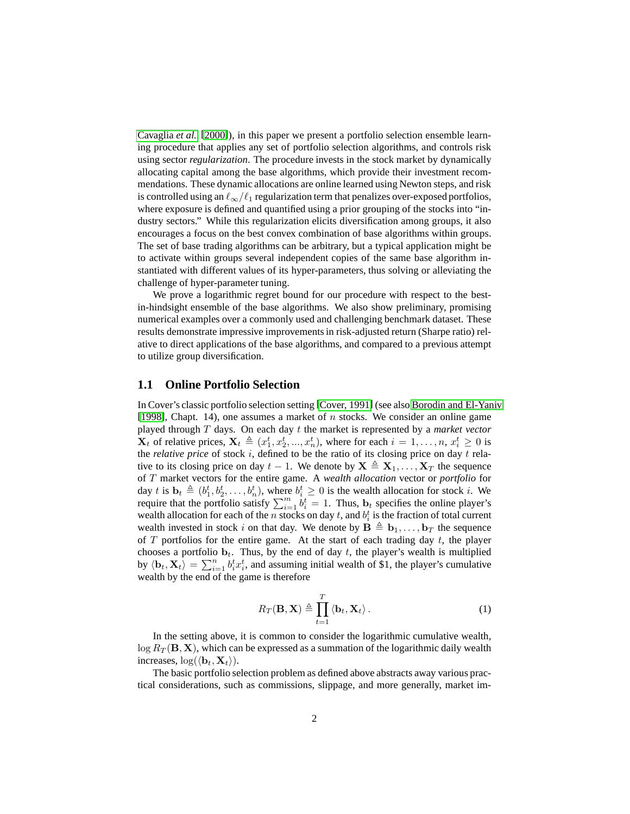[Cavaglia](#page-10-1) *et al.* [\[2000\]](#page-10-1)), in this paper we present a portfolio selection ensemble learning procedure that applies any set of portfolio selection algorithms, and controls risk using sector *regularization*. The procedure invests in the stock market by dynamically allocating capital among the base algorithms, which provide their investment recommendations. These dynamic allocations are online learned using Newton steps, and risk is controlled using an  $\ell_{\infty}/\ell_1$  regularization term that penalizes over-exposed portfolios, where exposure is defined and quantified using a prior grouping of the stocks into "industry sectors." While this regularization elicits diversification among groups, it also encourages a focus on the best convex combination of base algorithms within groups. The set of base trading algorithms can be arbitrary, but a typical application might be to activate within groups several independent copies of the same base algorithm instantiated with different values of its hyper-parameters, thus solving or alleviating the challenge of hyper-parameter tuning.

We prove a logarithmic regret bound for our procedure with respect to the bestin-hindsight ensemble of the base algorithms. We also show preliminary, promising numerical examples over a commonly used and challenging benchmark dataset. These results demonstrate impressive improvements in risk-adjusted return (Sharpe ratio) relative to direct applications of the base algorithms, and compared to a previous attempt to utilize group diversification.

## **1.1 Online Portfolio Selection**

In Cover's classic portfolio selection setting [\[Cover, 1991\]](#page-10-0) (see also [Borodin and El-Yaniv](#page-10-2) [\[1998\]](#page-10-2), Chapt. 14), one assumes a market of  $n$  stocks. We consider an online game played through T days. On each day t the market is represented by a *market vector*  $\mathbf{X}_t$  of relative prices,  $\mathbf{X}_t \triangleq (x_1^t, x_2^t, ..., x_n^t)$ , where for each  $i = 1, ..., n$ ,  $x_i^t \geq 0$  is the *relative price* of stock i, defined to be the ratio of its closing price on day t relative to its closing price on day  $t - 1$ . We denote by  $X \triangleq X_1, \ldots, X_T$  the sequence of T market vectors for the entire game. A *wealth allocation* vector or *portfolio* for day t is  $\mathbf{b}_t \triangleq (b_1^t, b_2^t, \dots, b_n^t)$ , where  $b_i^t \geq 0$  is the wealth allocation for stock i. We require that the portfolio satisfy  $\sum_{i=1}^{m} b_i^t = 1$ . Thus,  $\mathbf{b}_t$  specifies the online player's wealth allocation for each of the *n* stocks on day *t*, and  $b_i^t$  is the fraction of total current wealth invested in stock i on that day. We denote by  $\mathbf{B} \triangleq \mathbf{b}_1, \ldots, \mathbf{b}_T$  the sequence of T portfolios for the entire game. At the start of each trading day t, the player chooses a portfolio  $\mathbf{b}_t$ . Thus, by the end of day t, the player's wealth is multiplied by  $\langle \mathbf{b}_t, \mathbf{X}_t \rangle = \sum_{i=1}^n b_i^t x_i^t$ , and assuming initial wealth of \$1, the player's cumulative wealth by the end of the game is therefore

$$
R_T(\mathbf{B}, \mathbf{X}) \triangleq \prod_{t=1}^T \langle \mathbf{b}_t, \mathbf{X}_t \rangle.
$$
 (1)

In the setting above, it is common to consider the logarithmic cumulative wealth,  $\log R_T(\mathbf{B}, \mathbf{X})$ , which can be expressed as a summation of the logarithmic daily wealth increases,  $\log(\langle \mathbf{b}_t, \mathbf{X}_t \rangle)$ .

The basic portfolio selection problem as defined above abstracts away various practical considerations, such as commissions, slippage, and more generally, market im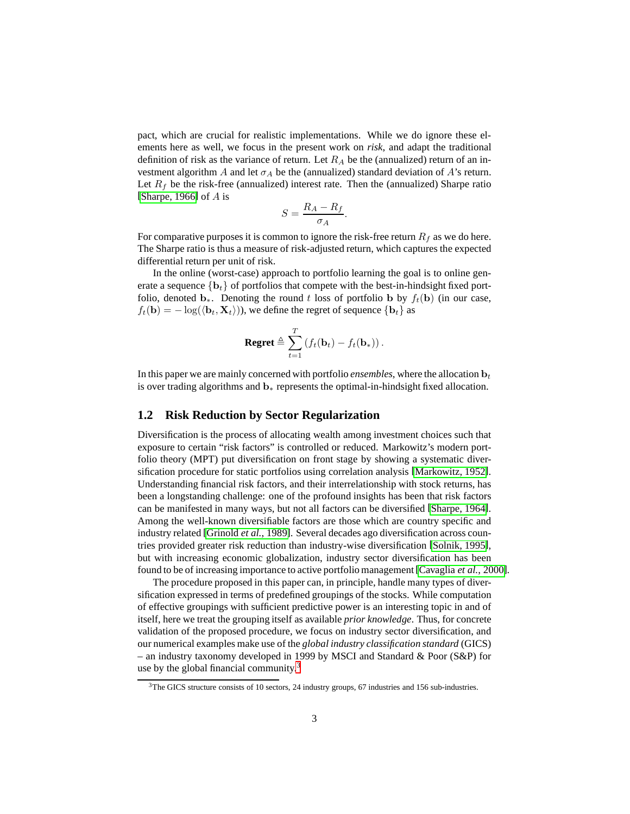pact, which are crucial for realistic implementations. While we do ignore these elements here as well, we focus in the present work on *risk*, and adapt the traditional definition of risk as the variance of return. Let  $R_A$  be the (annualized) return of an investment algorithm A and let  $\sigma_A$  be the (annualized) standard deviation of A's return. Let  $R_f$  be the risk-free (annualized) interest rate. Then the (annualized) Sharpe ratio [\[Sharpe, 1966\]](#page-12-0) of  $A$  is

$$
S = \frac{R_A - R_f}{\sigma_A}.
$$

For comparative purposes it is common to ignore the risk-free return  $R_f$  as we do here. The Sharpe ratio is thus a measure of risk-adjusted return, which captures the expected differential return per unit of risk.

In the online (worst-case) approach to portfolio learning the goal is to online generate a sequence  $\{b_t\}$  of portfolios that compete with the best-in-hindsight fixed portfolio, denoted  $\mathbf{b}_*$ . Denoting the round t loss of portfolio b by  $f_t(\mathbf{b})$  (in our case,  $f_t(\mathbf{b}) = -\log(\langle \mathbf{b}_t, \mathbf{X}_t \rangle)$ , we define the regret of sequence  $\{\mathbf{b}_t\}$  as

$$
\textbf{Regret} \triangleq \sum_{t=1}^T \left( f_t(\mathbf{b}_t) - f_t(\mathbf{b}_*) \right).
$$

In this paper we are mainly concerned with portfolio *ensembles*, where the allocation  $\mathbf{b}_t$ is over trading algorithms and b<sup>∗</sup> represents the optimal-in-hindsight fixed allocation.

## <span id="page-2-1"></span>**1.2 Risk Reduction by Sector Regularization**

Diversification is the process of allocating wealth among investment choices such that exposure to certain "risk factors" is controlled or reduced. Markowitz's modern portfolio theory (MPT) put diversification on front stage by showing a systematic diversification procedure for static portfolios using correlation analysis [\[Markowitz, 1952\]](#page-11-5). Understanding financial risk factors, and their interrelationship with stock returns, has been a longstanding challenge: one of the profound insights has been that risk factors can be manifested in many ways, but not all factors can be diversified [\[Sharpe, 1964\]](#page-12-1). Among the well-known diversifiable factors are those which are country specific and industry related [\[Grinold](#page-11-3) *et al.*, 1989]. Several decades ago diversification across countries provided greater risk reduction than industry-wise diversification [\[Solnik, 1995\]](#page-12-2), but with increasing economic globalization, industry sector diversification has been found to be of increasing importance to active portfolio management[\[Cavaglia](#page-10-1) *et al.*, 2000].

The procedure proposed in this paper can, in principle, handle many types of diversification expressed in terms of predefined groupings of the stocks. While computation of effective groupings with sufficient predictive power is an interesting topic in and of itself, here we treat the grouping itself as available *prior knowledge*. Thus, for concrete validation of the proposed procedure, we focus on industry sector diversification, and our numerical examples make use of the *global industry classification standard* (GICS) – an industry taxonomy developed in 1999 by MSCI and Standard & Poor (S&P) for use by the global financial community.<sup>[3](#page-2-0)</sup>

<span id="page-2-0"></span><sup>3</sup>The GICS structure consists of 10 sectors, 24 industry groups, 67 industries and 156 sub-industries.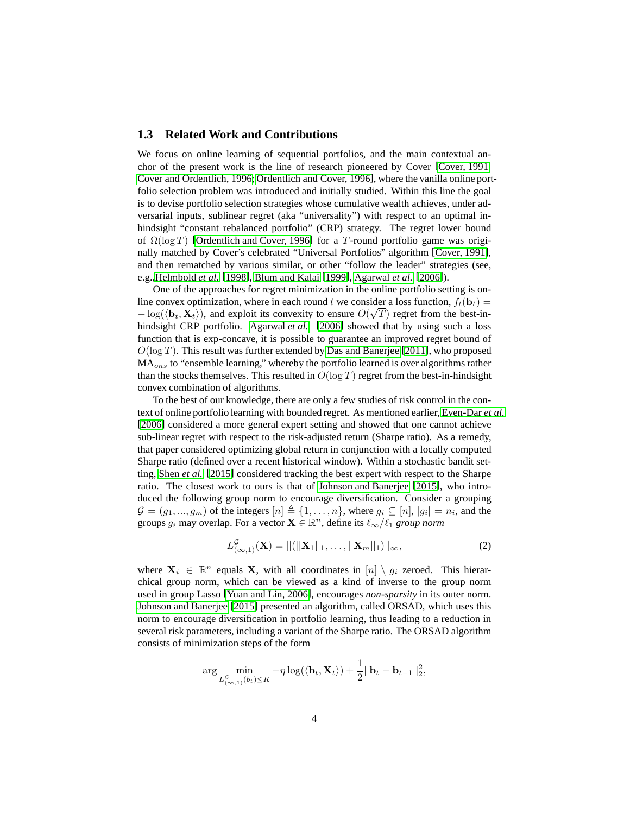## <span id="page-3-0"></span>**1.3 Related Work and Contributions**

We focus on online learning of sequential portfolios, and the main contextual anchor of the present work is the line of research pioneered by Cover [\[Cover, 1991;](#page-10-0) [Cover and Ordentlich, 1996;](#page-10-3) [Ordentlich and Cover, 1996\]](#page-11-6), where the vanilla online portfolio selection problem was introduced and initially studied. Within this line the goal is to devise portfolio selection strategies whose cumulative wealth achieves, under adversarial inputs, sublinear regret (aka "universality") with respect to an optimal inhindsight "constant rebalanced portfolio" (CRP) strategy. The regret lower bound of  $\Omega(\log T)$  [\[Ordentlich and Cover, 1996\]](#page-11-6) for a T-round portfolio game was originally matched by Cover's celebrated "Universal Portfolios" algorithm [\[Cover, 1991\]](#page-10-0), and then rematched by various similar, or other "follow the leader" strategies (see, e.g.[,Helmbold](#page-11-7) *et al.* [\[1998\]](#page-11-7), [Blum and Kalai](#page-10-4) [\[1999\]](#page-10-4), [Agarwal](#page-10-5) *et al.* [\[2006\]](#page-10-5)).

One of the approaches for regret minimization in the online portfolio setting is online convex optimization, where in each round t we consider a loss function,  $f_t(\mathbf{b}_t) =$  $-\log(\langle \mathbf{b}_t, \mathbf{X}_t \rangle)$ , and exploit its convexity to ensure  $O(\sqrt{T})$  regret from the best-inhindsight CRP portfolio. [Agarwal](#page-10-5) *et al.* [\[2006\]](#page-10-5) showed that by using such a loss function that is exp-concave, it is possible to guarantee an improved regret bound of  $O(\log T)$ . This result was further extended by [Das and Banerjee](#page-11-8) [\[2011\]](#page-11-8), who proposed MA<sub>ons</sub> to "ensemble learning," whereby the portfolio learned is over algorithms rather than the stocks themselves. This resulted in  $O(\log T)$  regret from the best-in-hindsight convex combination of algorithms.

To the best of our knowledge, there are only a few studies of risk control in the context of online portfolio learning with bounded regret. As mentioned earlier, [Even-Dar](#page-11-1) *et al.* [\[2006\]](#page-11-1) considered a more general expert setting and showed that one cannot achieve sub-linear regret with respect to the risk-adjusted return (Sharpe ratio). As a remedy, that paper considered optimizing global return in conjunction with a locally computed Sharpe ratio (defined over a recent historical window). Within a stochastic bandit setting, [Shen](#page-12-3) *et al.* [\[2015\]](#page-12-3) considered tracking the best expert with respect to the Sharpe ratio. The closest work to ours is that of [Johnson and Banerjee](#page-11-2) [\[2015\]](#page-11-2), who introduced the following group norm to encourage diversification. Consider a grouping  $\mathcal{G} = (g_1, ..., g_m)$  of the integers  $[n] \triangleq \{1, ..., n\}$ , where  $g_i \subseteq [n]$ ,  $|g_i| = n_i$ , and the groups  $g_i$  may overlap. For a vector  $\mathbf{X} \in \mathbb{R}^n$ , define its  $\ell_\infty/\ell_1$  *group norm* 

$$
L_{(\infty,1)}^{\mathcal{G}}(\mathbf{X}) = ||(||\mathbf{X}_1||_1, \dots, ||\mathbf{X}_m||_1)||_{\infty},
$$
\n(2)

where  $X_i \in \mathbb{R}^n$  equals X, with all coordinates in  $[n] \setminus g_i$  zeroed. This hierarchical group norm, which can be viewed as a kind of inverse to the group norm used in group Lasso [\[Yuan and Lin, 2006\]](#page-12-4), encourages *non-sparsity* in its outer norm. [Johnson and Banerjee](#page-11-2) [\[2015\]](#page-11-2) presented an algorithm, called ORSAD, which uses this norm to encourage diversification in portfolio learning, thus leading to a reduction in several risk parameters, including a variant of the Sharpe ratio. The ORSAD algorithm consists of minimization steps of the form

$$
\arg\min_{L_{(\infty,1)}^{\mathcal{G}}(b_t)\leq K} -\eta \log(\langle \mathbf{b}_t, \mathbf{X}_t \rangle) + \frac{1}{2}||\mathbf{b}_t - \mathbf{b}_{t-1}||_2^2,
$$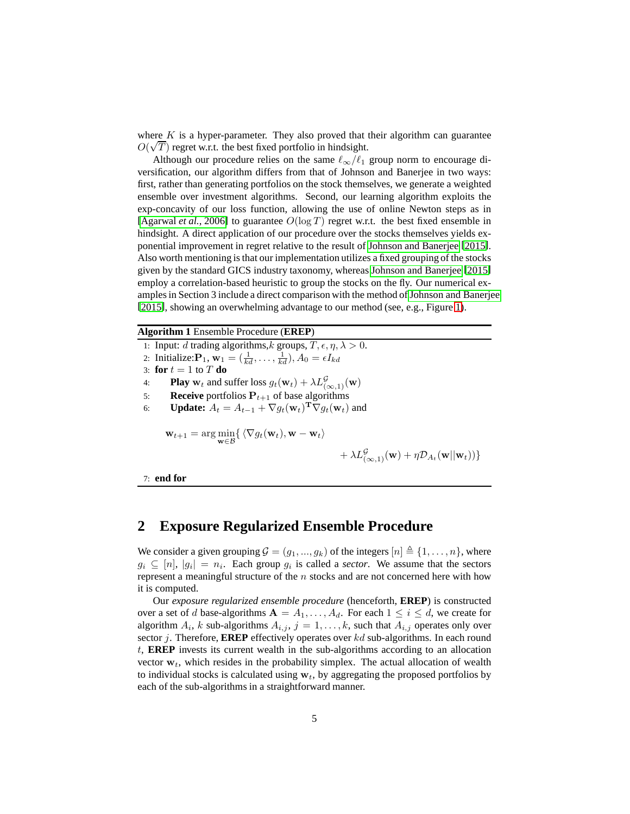where  $K$  is a hyper-parameter. They also proved that their algorithm can guarantee  $O(\sqrt{T})$  regret w.r.t. the best fixed portfolio in hindsight.

Although our procedure relies on the same  $\ell_{\infty}/\ell_1$  group norm to encourage diversification, our algorithm differs from that of Johnson and Banerjee in two ways: first, rather than generating portfolios on the stock themselves, we generate a weighted ensemble over investment algorithms. Second, our learning algorithm exploits the exp-concavity of our loss function, allowing the use of online Newton steps as in [\[Agarwal](#page-10-5) *et al.*, 2006] to guarantee  $O(\log T)$  regret w.r.t. the best fixed ensemble in hindsight. A direct application of our procedure over the stocks themselves yields exponential improvement in regret relative to the result of [Johnson and Banerjee](#page-11-2) [\[2015\]](#page-11-2). Also worth mentioning is that our implementation utilizes a fixed grouping of the stocks given by the standard GICS industry taxonomy, whereas [Johnson and Banerjee](#page-11-2) [\[2015\]](#page-11-2) employ a correlation-based heuristic to group the stocks on the fly. Our numerical examples in Section 3 include a direct comparison with the method of [Johnson and Banerjee](#page-11-2) [\[2015\]](#page-11-2), showing an overwhelming advantage to our method (see, e.g., Figure [1\)](#page-8-0).

#### <span id="page-4-0"></span>**Algorithm 1** Ensemble Procedure (**EREP**)

- 1: Input: d trading algorithms, k groups,  $T, \epsilon, \eta, \lambda > 0$ .
- 2: Initialize:  $\mathbf{P}_1$ ,  $\mathbf{w}_1 = (\frac{1}{kd}, \dots, \frac{1}{kd}), A_0 = \epsilon I_{kd}$

3: **for**  $t = 1$  to  $T$  **do** 

- 4: **Play**  $\mathbf{w}_t$  and suffer loss  $g_t(\mathbf{w}_t) + \lambda L^{\mathcal{G}}_{(\infty,1)}(\mathbf{w})$
- 5: **Receive** portfolios  $P_{t+1}$  of base algorithms
- 6: **Update:**  $A_t = A_{t-1} + \nabla g_t(\mathbf{w}_t)^\mathbf{T} \nabla g_t(\mathbf{w}_t)$  and

$$
\mathbf{w}_{t+1} = \arg\min_{\mathbf{w}\in\mathcal{B}} \{ \langle \nabla g_t(\mathbf{w}_t), \mathbf{w} - \mathbf{w}_t \rangle \}
$$

$$
+\lambda L_{(\infty,1)}^{\mathcal{G}}(\mathbf{w}) + \eta \mathcal{D}_{A_t}(\mathbf{w}||\mathbf{w}_t))\}
$$

7: **end for**

## **2 Exposure Regularized Ensemble Procedure**

We consider a given grouping  $\mathcal{G} = (g_1, ..., g_k)$  of the integers  $[n] \triangleq \{1, ..., n\}$ , where  $g_i \subseteq [n], |g_i| = n_i$ . Each group  $g_i$  is called a *sector*. We assume that the sectors represent a meaningful structure of the n stocks and are not concerned here with how it is computed.

Our *exposure regularized ensemble procedure* (henceforth, **EREP**) is constructed over a set of d base-algorithms  $A = A_1, \ldots, A_d$ . For each  $1 \leq i \leq d$ , we create for algorithm  $A_i$ , k sub-algorithms  $A_{i,j}$ ,  $j = 1, ..., k$ , such that  $A_{i,j}$  operates only over sector j. Therefore, **EREP** effectively operates over kd sub-algorithms. In each round t, **EREP** invests its current wealth in the sub-algorithms according to an allocation vector  $w_t$ , which resides in the probability simplex. The actual allocation of wealth to individual stocks is calculated using  $w_t$ , by aggregating the proposed portfolios by each of the sub-algorithms in a straightforward manner.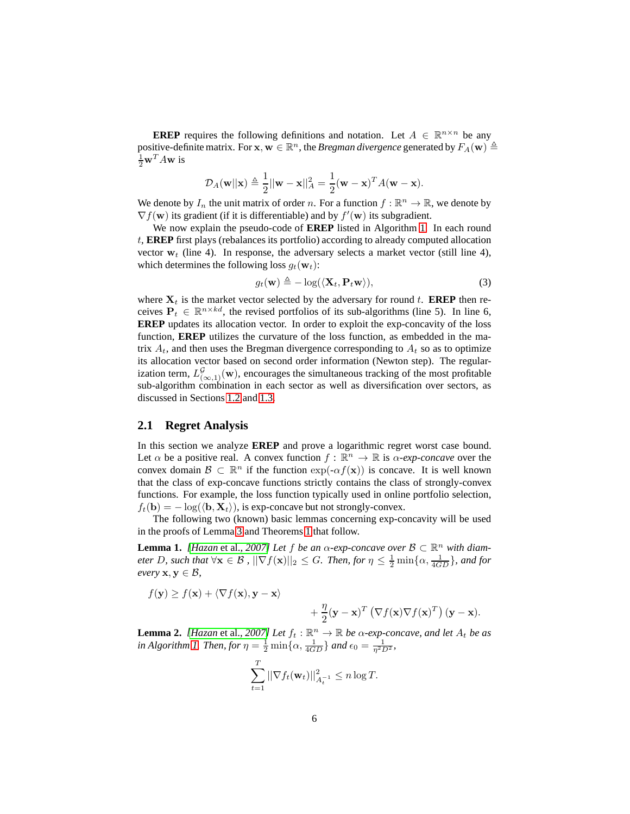**EREP** requires the following definitions and notation. Let  $A \in \mathbb{R}^{n \times n}$  be any positive-definite matrix. For  $\mathbf{x}, \mathbf{w} \in \mathbb{R}^n$ , the *Bregman divergence* generated by  $F_A(\mathbf{w}) \triangleq$  $\frac{1}{2}\mathbf{w}^T A\mathbf{w}$  is

$$
\mathcal{D}_A(\mathbf{w}||\mathbf{x}) \triangleq \frac{1}{2}||\mathbf{w} - \mathbf{x}||_A^2 = \frac{1}{2}(\mathbf{w} - \mathbf{x})^T A(\mathbf{w} - \mathbf{x}).
$$

We denote by  $I_n$  the unit matrix of order n. For a function  $f : \mathbb{R}^n \to \mathbb{R}$ , we denote by  $\nabla f(\mathbf{w})$  its gradient (if it is differentiable) and by  $f'(\mathbf{w})$  its subgradient.

We now explain the pseudo-code of **EREP** listed in Algorithm [1.](#page-4-0) In each round t, **EREP** first plays (rebalances its portfolio) according to already computed allocation vector  $w_t$  (line 4). In response, the adversary selects a market vector (still line 4), which determines the following loss  $g_t(\mathbf{w}_t)$ :

$$
g_t(\mathbf{w}) \triangleq -\log(\langle \mathbf{X}_t, \mathbf{P}_t \mathbf{w} \rangle), \tag{3}
$$

where  $X_t$  is the market vector selected by the adversary for round t. **EREP** then receives  $P_t \in \mathbb{R}^{n \times kd}$ , the revised portfolios of its sub-algorithms (line 5). In line 6, **EREP** updates its allocation vector. In order to exploit the exp-concavity of the loss function, **EREP** utilizes the curvature of the loss function, as embedded in the matrix  $A_t$ , and then uses the Bregman divergence corresponding to  $A_t$  so as to optimize its allocation vector based on second order information (Newton step). The regularization term,  $L^{\mathcal{G}}_{(\infty,1)}(\mathbf{w})$ , encourages the simultaneous tracking of the most profitable sub-algorithm combination in each sector as well as diversification over sectors, as discussed in Sections [1.2](#page-2-1) and [1.3.](#page-3-0)

## **2.1 Regret Analysis**

In this section we analyze **EREP** and prove a logarithmic regret worst case bound. Let  $\alpha$  be a positive real. A convex function  $f : \mathbb{R}^n \to \mathbb{R}$  is  $\alpha$ -exp-concave over the convex domain  $\mathcal{B} \subset \mathbb{R}^n$  if the function  $\exp(-\alpha f(\mathbf{x}))$  is concave. It is well known that the class of exp-concave functions strictly contains the class of strongly-convex functions. For example, the loss function typically used in online portfolio selection,  $f_t(\mathbf{b}) = -\log(\langle \mathbf{b}, \mathbf{X}_t \rangle)$ , is exp-concave but not strongly-convex.

The following two (known) basic lemmas concerning exp-concavity will be used in the proofs of Lemma [3](#page-6-0) and Theorems [1](#page-6-1) that follow.

**Lemma 1.** *[\[Hazan](#page-11-9)* et al., 2007] *Let* f *be an*  $\alpha$ -exp-concave over  $\beta \subset \mathbb{R}^n$  with diam*eter D, such that*  $\forall$ **x**  $\in$  *B ,*  $||\nabla f(\mathbf{x})||_2 \leq G$ *. Then, for*  $\eta \leq \frac{1}{2} \min\{\alpha, \frac{1}{4GD}\}\$ *, and for every*  $x, y \in B$ ,

$$
f(\mathbf{y}) \ge f(\mathbf{x}) + \langle \nabla f(\mathbf{x}), \mathbf{y} - \mathbf{x} \rangle
$$
  
  $+ \frac{\eta}{2} (\mathbf{y} - \mathbf{x})^T (\nabla f(\mathbf{x}) \nabla f(\mathbf{x})^T) (\mathbf{y} - \mathbf{x}).$ 

**Lemma 2.** *[\[Hazan](#page-11-9)* et al., 2007] *Let*  $f_t$  :  $\mathbb{R}^n \to \mathbb{R}$  *be*  $\alpha$ -exp-concave, and let  $A_t$  *be* as *in Algorithm [1.](#page-4-0) Then, for*  $\eta = \frac{1}{2} \min\{\alpha, \frac{1}{4GD}\}\$  *and*  $\epsilon_0 = \frac{1}{\eta^2 D^2}$ *,* 

$$
\sum_{t=1}^T ||\nabla f_t(\mathbf{w}_t)||_{A_t^{-1}}^2 \le n \log T.
$$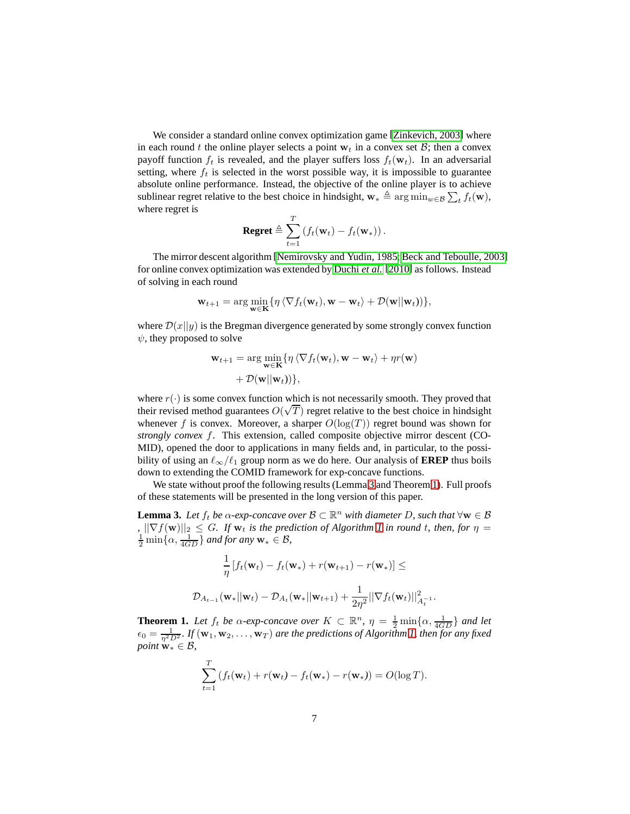We consider a standard online convex optimization game [\[Zinkevich, 2003\]](#page-12-5) where in each round t the online player selects a point  $w_t$  in a convex set B; then a convex payoff function  $f_t$  is revealed, and the player suffers loss  $f_t(\mathbf{w}_t)$ . In an adversarial setting, where  $f_t$  is selected in the worst possible way, it is impossible to guarantee absolute online performance. Instead, the objective of the online player is to achieve sublinear regret relative to the best choice in hindsight,  $\mathbf{w}_* \triangleq \arg \min_{w \in \mathcal{B}} \sum_t f_t(\mathbf{w})$ , where regret is

$$
\textbf{Regret} \triangleq \sum_{t=1}^T \left( f_t(\mathbf{w}_t) - f_t(\mathbf{w}_*) \right).
$$

The mirror descent algorithm [\[Nemirovsky and Yudin, 1985;](#page-11-10) [Beck and Teboulle, 2003\]](#page-10-6) for online convex optimization was extended by [Duchi](#page-11-11) *et al.* [\[2010\]](#page-11-11) as follows. Instead of solving in each round

$$
\mathbf{w}_{t+1} = \arg\min_{\mathbf{w} \in \mathbf{K}} \{ \eta \langle \nabla f_t(\mathbf{w}_t), \mathbf{w} - \mathbf{w}_t \rangle + \mathcal{D}(\mathbf{w} || \mathbf{w}_t) ) \},
$$

where  $\mathcal{D}(x||y)$  is the Bregman divergence generated by some strongly convex function  $\psi$ , they proposed to solve

$$
\mathbf{w}_{t+1} = \arg\min_{\mathbf{w} \in \mathbf{K}} \{ \eta \langle \nabla f_t(\mathbf{w}_t), \mathbf{w} - \mathbf{w}_t \rangle + \eta r(\mathbf{w}) + \mathcal{D}(\mathbf{w}||\mathbf{w}_t)) \},
$$

where  $r(\cdot)$  is some convex function which is not necessarily smooth. They proved that their revised method guarantees  $O(\sqrt{T})$  regret relative to the best choice in hindsight whenever f is convex. Moreover, a sharper  $O(\log(T))$  regret bound was shown for *strongly convex* f. This extension, called composite objective mirror descent (CO-MID), opened the door to applications in many fields and, in particular, to the possibility of using an  $\ell_{\infty}/\ell_1$  group norm as we do here. Our analysis of **EREP** thus boils down to extending the COMID framework for exp-concave functions.

We state without proof the following results (Lemma [3](#page-6-0) and Theorem [1\)](#page-6-1). Full proofs of these statements will be presented in the long version of this paper.

<span id="page-6-0"></span>**Lemma 3.** Let  $f_t$  be  $\alpha$ -exp-concave over  $\mathcal{B} \subset \mathbb{R}^n$  with diameter D, such that  $\forall w \in \mathcal{B}$  $\int_{\frac{1}{2}}^{\infty} \frac{1}{\sqrt{|\nabla f(\mathbf{w})|}} \leq G$ *. If*  $\mathbf{w}_t$  *is the prediction of Algorithm [1](#page-4-0) in round t, then, for*  $\eta = \frac{1}{2} \min\{\alpha, \frac{1}{4GD}\}\$  *and for any*  $\mathbf{w}_* \in \mathcal{B}$ *,* 

$$
\frac{1}{\eta} \left[ f_t(\mathbf{w}_t) - f_t(\mathbf{w}_*) + r(\mathbf{w}_{t+1}) - r(\mathbf{w}_*) \right] \le
$$
  

$$
\mathcal{D}_{A_{t-1}}(\mathbf{w}_* || \mathbf{w}_t) - \mathcal{D}_{A_t}(\mathbf{w}_* || \mathbf{w}_{t+1}) + \frac{1}{2\eta^2} ||\nabla f_t(\mathbf{w}_t)||_{A_t^{-1}}^2.
$$

<span id="page-6-1"></span>**Theorem 1.** Let  $f_t$  be  $\alpha$ -exp-concave over  $K \subset \mathbb{R}^n$ ,  $\eta = \frac{1}{2} \min\{\alpha, \frac{1}{4GD}\}\$  and let  $\epsilon_0 = \frac{1}{\eta^2 D^2}$ . If  $(\mathbf{w}_1, \mathbf{w}_2, \dots, \mathbf{w}_T)$  are the predictions of Algorithm [1,](#page-4-0) then for any fixed *point*  $\mathbf{w}_* \in \mathcal{B}$ ,

$$
\sum_{t=1}^T \left( f_t(\mathbf{w}_t) + r(\mathbf{w}_t) - f_t(\mathbf{w}_*) - r(\mathbf{w}_*) \right) = O(\log T).
$$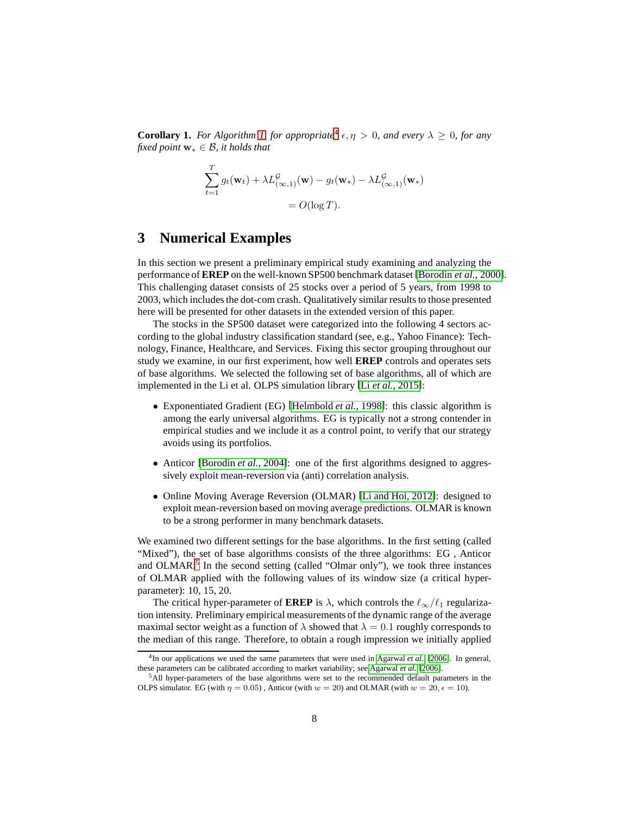**Corollary 1.** *For Algorithm [1,](#page-4-0) for appropriate*<sup>[4](#page-7-0)</sup>  $\epsilon, \eta > 0$ *, and every*  $\lambda \geq 0$ *, for any fixed point*  $w_* ∈ B$ *, it holds that* 

$$
\sum_{t=1}^{T} g_t(\mathbf{w}_t) + \lambda L_{(\infty,1)}^{\mathcal{G}}(\mathbf{w}) - g_t(\mathbf{w}_*) - \lambda L_{(\infty,1)}^{\mathcal{G}}(\mathbf{w}_*)
$$

$$
= O(\log T).
$$

## **3 Numerical Examples**

In this section we present a preliminary empirical study examining and analyzing the performance of **EREP** on the well-known SP500 benchmark dataset [\[Borodin](#page-10-7) *et al.*, 2000]. This challenging dataset consists of 25 stocks over a period of 5 years, from 1998 to 2003, which includes the dot-com crash. Qualitatively similar results to those presented here will be presented for other datasets in the extended version of this paper.

The stocks in the SP500 dataset were categorized into the following 4 sectors according to the global industry classification standard (see, e.g., Yahoo Finance): Technology, Finance, Healthcare, and Services. Fixing this sector grouping throughout our study we examine, in our first experiment, how well **EREP** controls and operates sets of base algorithms. We selected the following set of base algorithms, all of which are implemented in the Li et al. OLPS simulation library [Li *et al.*[, 2015\]](#page-11-12):

- Exponentiated Gradient (EG) [\[Helmbold](#page-11-7) *et al.*, 1998]: this classic algorithm is among the early universal algorithms. EG is typically not a strong contender in empirical studies and we include it as a control point, to verify that our strategy avoids using its portfolios.
- Anticor [\[Borodin](#page-10-8) *et al.*, 2004]: one of the first algorithms designed to aggressively exploit mean-reversion via (anti) correlation analysis.
- Online Moving Average Reversion (OLMAR) [\[Li and Hoi, 2012\]](#page-11-13): designed to exploit mean-reversion based on moving average predictions. OLMAR is known to be a strong performer in many benchmark datasets.

We examined two different settings for the base algorithms. In the first setting (called "Mixed"), the set of base algorithms consists of the three algorithms: EG , Anticor and OLMAR.<sup>[5](#page-7-1)</sup> In the second setting (called "Olmar only"), we took three instances of OLMAR applied with the following values of its window size (a critical hyperparameter): 10, 15, 20.

The critical hyper-parameter of **EREP** is  $\lambda$ , which controls the  $\ell_{\infty}/\ell_1$  regularization intensity. Preliminary empirical measurements of the dynamic range of the average maximal sector weight as a function of  $\lambda$  showed that  $\lambda = 0.1$  roughly corresponds to the median of this range. Therefore, to obtain a rough impression we initially applied

<span id="page-7-0"></span><sup>4</sup> In our applications we used the same parameters that were used in [Agarwal](#page-10-5) *et al.* [\[2006\]](#page-10-5). In general, these parameters can be calibrated according to market variability; see [Agarwal](#page-10-5) *et al.* [\[2006\]](#page-10-5).

<span id="page-7-1"></span><sup>5</sup>All hyper-parameters of the base algorithms were set to the recommended default parameters in the OLPS simulator. EG (with  $\eta = 0.05$ ), Anticor (with  $w = 20$ ) and OLMAR (with  $w = 20$ ,  $\epsilon = 10$ ).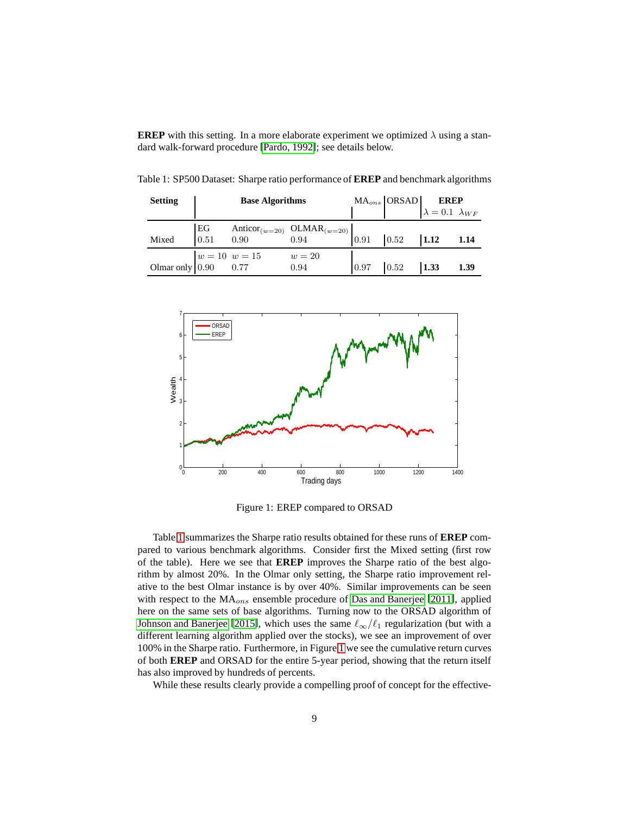**EREP** with this setting. In a more elaborate experiment we optimized  $\lambda$  using a standard walk-forward procedure [\[Pardo, 1992\]](#page-12-6); see details below.

<span id="page-8-1"></span>

| <b>Setting</b> | <b>Base Algorithms</b> |                                                        |                                                                           |                      | $\begin{array}{c c} \text{MA}_{ons} & \text{ORSAD} & \text{EREP} \\ \hline & \lambda = 0.1 & \lambda_{WF} \end{array}$ |      |
|----------------|------------------------|--------------------------------------------------------|---------------------------------------------------------------------------|----------------------|------------------------------------------------------------------------------------------------------------------------|------|
|                |                        |                                                        |                                                                           |                      |                                                                                                                        |      |
|                |                        |                                                        |                                                                           |                      |                                                                                                                        |      |
| Mixed          |                        |                                                        | EG Anticor( <i>w</i> =20) OLMAR( <i>w</i> =20)<br>0.91   0.52   1.12 1.14 |                      |                                                                                                                        |      |
|                |                        |                                                        | $w=20$                                                                    |                      |                                                                                                                        |      |
|                |                        | Olmar only $w = 10$ $w = 15$<br>Olmar only $0.90$ 0.77 | 0.94                                                                      | $0.97$ $0.52$ $1.33$ |                                                                                                                        | 1.39 |

Table 1: SP500 Dataset: Sharpe ratio performance of **EREP** and benchmark algorithms



<span id="page-8-0"></span>Figure 1: EREP compared to ORSAD

Table [1](#page-8-1) summarizes the Sharpe ratio results obtained for these runs of **EREP** compared to various benchmark algorithms. Consider first the Mixed setting (first row of the table). Here we see that **EREP** improves the Sharpe ratio of the best algorithm by almost 20%. In the Olmar only setting, the Sharpe ratio improvement relative to the best Olmar instance is by over 40%. Similar improvements can be seen with respect to the  $MA<sub>ons</sub>$  ensemble procedure of [Das and Banerjee](#page-11-8) [\[2011\]](#page-11-8), applied here on the same sets of base algorithms. Turning now to the ORSAD algorithm of [Johnson and Banerjee](#page-11-2) [\[2015\]](#page-11-2), which uses the same  $\ell_{\infty}/\ell_1$  regularization (but with a different learning algorithm applied over the stocks), we see an improvement of over 100% in the Sharpe ratio. Furthermore, in Figure [1](#page-8-0) we see the cumulative return curves of both **EREP** and ORSAD for the entire 5-year period, showing that the return itself has also improved by hundreds of percents.

While these results clearly provide a compelling proof of concept for the effective-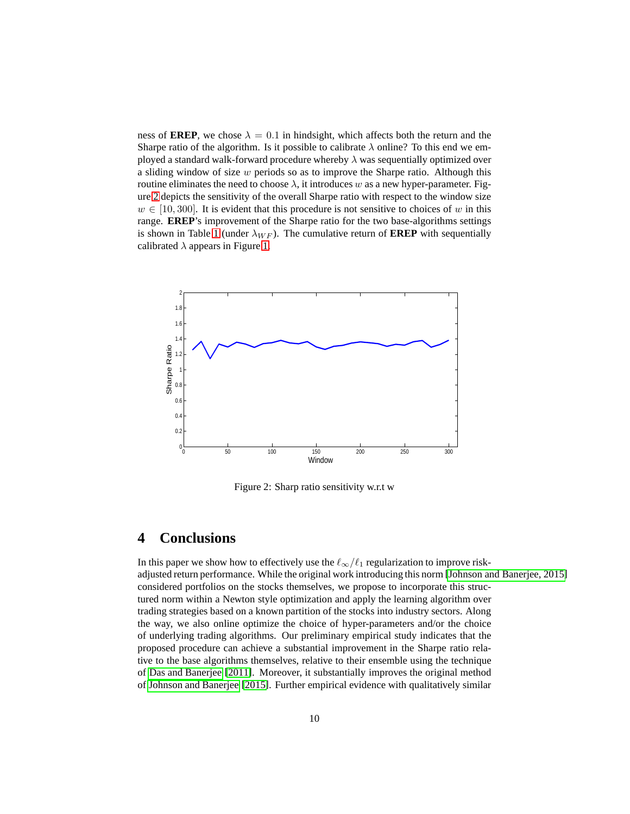ness of **EREP**, we chose  $\lambda = 0.1$  in hindsight, which affects both the return and the Sharpe ratio of the algorithm. Is it possible to calibrate  $\lambda$  online? To this end we employed a standard walk-forward procedure whereby  $\lambda$  was sequentially optimized over a sliding window of size w periods so as to improve the Sharpe ratio. Although this routine eliminates the need to choose  $\lambda$ , it introduces w as a new hyper-parameter. Figure [2](#page-9-0) depicts the sensitivity of the overall Sharpe ratio with respect to the window size  $w \in [10, 300]$ . It is evident that this procedure is not sensitive to choices of w in this range. **EREP**'s improvement of the Sharpe ratio for the two base-algorithms settings is shown in Table [1](#page-8-1) (under  $\lambda_{WF}$ ). The cumulative return of **EREP** with sequentially calibrated  $\lambda$  appears in Figure [1.](#page-8-0)



<span id="page-9-0"></span>Figure 2: Sharp ratio sensitivity w.r.t w

# **4 Conclusions**

In this paper we show how to effectively use the  $\ell_{\infty}/\ell_1$  regularization to improve riskadjusted return performance. While the original work introducing this norm [\[Johnson and Banerjee, 2015\]](#page-11-2) considered portfolios on the stocks themselves, we propose to incorporate this structured norm within a Newton style optimization and apply the learning algorithm over trading strategies based on a known partition of the stocks into industry sectors. Along the way, we also online optimize the choice of hyper-parameters and/or the choice of underlying trading algorithms. Our preliminary empirical study indicates that the proposed procedure can achieve a substantial improvement in the Sharpe ratio relative to the base algorithms themselves, relative to their ensemble using the technique of [Das and Banerjee](#page-11-8) [\[2011\]](#page-11-8). Moreover, it substantially improves the original method of [Johnson and Banerjee](#page-11-2) [\[2015\]](#page-11-2). Further empirical evidence with qualitatively similar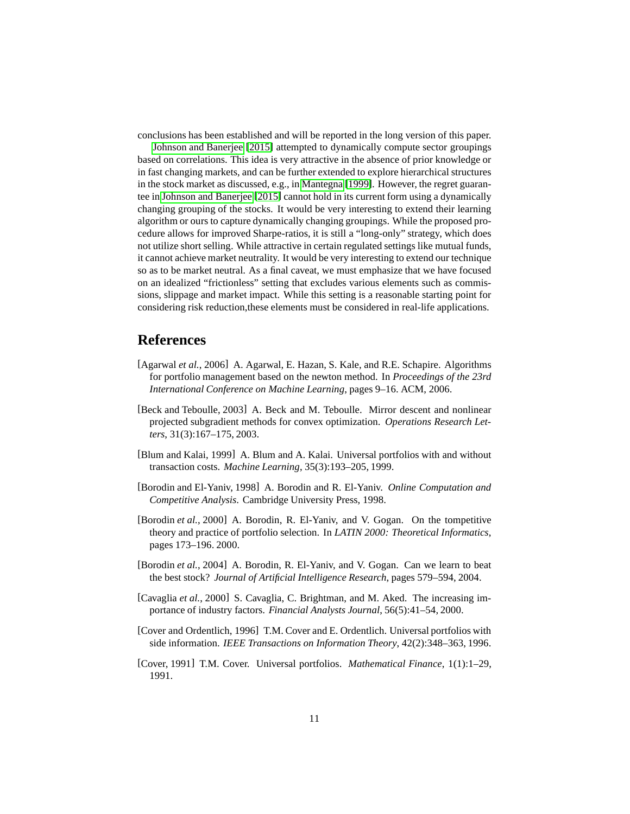conclusions has been established and will be reported in the long version of this paper.

[Johnson and Banerjee](#page-11-2) [\[2015\]](#page-11-2) attempted to dynamically compute sector groupings based on correlations. This idea is very attractive in the absence of prior knowledge or in fast changing markets, and can be further extended to explore hierarchical structures in the stock market as discussed, e.g., in [Mantegna](#page-11-14) [\[1999\]](#page-11-14). However, the regret guarantee in [Johnson and Banerjee](#page-11-2) [\[2015\]](#page-11-2) cannot hold in its current form using a dynamically changing grouping of the stocks. It would be very interesting to extend their learning algorithm or ours to capture dynamically changing groupings. While the proposed procedure allows for improved Sharpe-ratios, it is still a "long-only" strategy, which does not utilize short selling. While attractive in certain regulated settings like mutual funds, it cannot achieve market neutrality. It would be very interesting to extend our technique so as to be market neutral. As a final caveat, we must emphasize that we have focused on an idealized "frictionless" setting that excludes various elements such as commissions, slippage and market impact. While this setting is a reasonable starting point for considering risk reduction,these elements must be considered in real-life applications.

# **References**

- <span id="page-10-5"></span>[Agarwal *et al.*, 2006] A. Agarwal, E. Hazan, S. Kale, and R.E. Schapire. Algorithms for portfolio management based on the newton method. In *Proceedings of the 23rd International Conference on Machine Learning*, pages 9–16. ACM, 2006.
- <span id="page-10-6"></span>[Beck and Teboulle, 2003] A. Beck and M. Teboulle. Mirror descent and nonlinear projected subgradient methods for convex optimization. *Operations Research Letters*, 31(3):167–175, 2003.
- <span id="page-10-4"></span>[Blum and Kalai, 1999] A. Blum and A. Kalai. Universal portfolios with and without transaction costs. *Machine Learning*, 35(3):193–205, 1999.
- <span id="page-10-2"></span>[Borodin and El-Yaniv, 1998] A. Borodin and R. El-Yaniv. *Online Computation and Competitive Analysis*. Cambridge University Press, 1998.
- <span id="page-10-7"></span>[Borodin *et al.*, 2000] A. Borodin, R. El-Yaniv, and V. Gogan. On the tompetitive theory and practice of portfolio selection. In *LATIN 2000: Theoretical Informatics*, pages 173–196. 2000.
- <span id="page-10-8"></span>[Borodin *et al.*, 2004] A. Borodin, R. El-Yaniv, and V. Gogan. Can we learn to beat the best stock? *Journal of Artificial Intelligence Research*, pages 579–594, 2004.
- <span id="page-10-1"></span>[Cavaglia et al., 2000] S. Cavaglia, C. Brightman, and M. Aked. The increasing importance of industry factors. *Financial Analysts Journal*, 56(5):41–54, 2000.
- <span id="page-10-3"></span>[Cover and Ordentlich, 1996] T.M. Cover and E. Ordentlich. Universal portfolios with side information. *IEEE Transactions on Information Theory*, 42(2):348–363, 1996.
- <span id="page-10-0"></span>[Cover, 1991] T.M. Cover. Universal portfolios. *Mathematical Finance*, 1(1):1–29, 1991.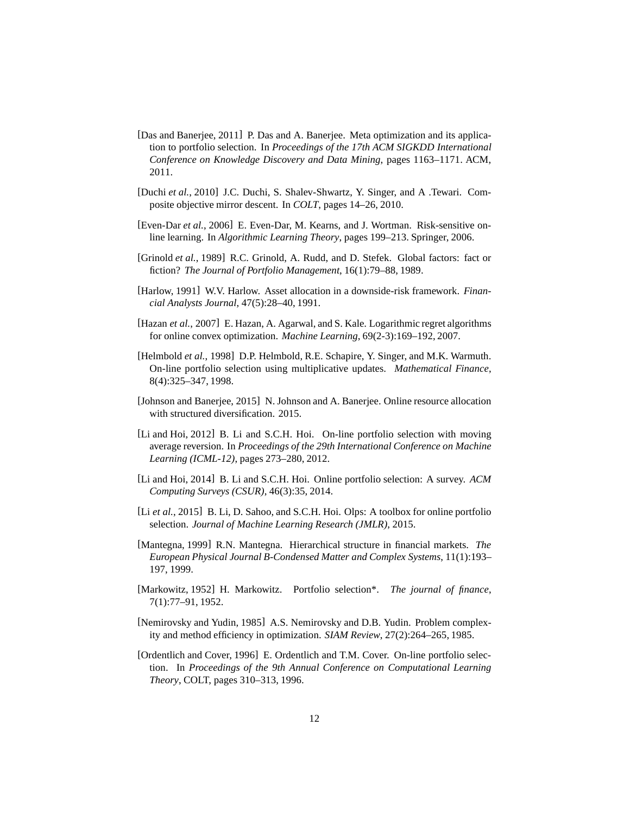- <span id="page-11-8"></span>[Das and Banerjee, 2011] P. Das and A. Banerjee. Meta optimization and its application to portfolio selection. In *Proceedings of the 17th ACM SIGKDD International Conference on Knowledge Discovery and Data Mining*, pages 1163–1171. ACM, 2011.
- <span id="page-11-11"></span>[Duchi *et al.*, 2010] J.C. Duchi, S. Shalev-Shwartz, Y. Singer, and A .Tewari. Composite objective mirror descent. In *COLT*, pages 14–26, 2010.
- <span id="page-11-1"></span>[Even-Dar et al., 2006] E. Even-Dar, M. Kearns, and J. Wortman. Risk-sensitive online learning. In *Algorithmic Learning Theory*, pages 199–213. Springer, 2006.
- <span id="page-11-3"></span>[Grinold *et al.*, 1989] R.C. Grinold, A. Rudd, and D. Stefek. Global factors: fact or fiction? *The Journal of Portfolio Management*, 16(1):79–88, 1989.
- <span id="page-11-4"></span>[Harlow, 1991] W.V. Harlow. Asset allocation in a downside-risk framework. *Financial Analysts Journal*, 47(5):28–40, 1991.
- <span id="page-11-9"></span>[Hazan *et al.*, 2007] E. Hazan, A. Agarwal, and S. Kale. Logarithmic regret algorithms for online convex optimization. *Machine Learning*, 69(2-3):169–192, 2007.
- <span id="page-11-7"></span>[Helmbold et al., 1998] D.P. Helmbold, R.E. Schapire, Y. Singer, and M.K. Warmuth. On-line portfolio selection using multiplicative updates. *Mathematical Finance*, 8(4):325–347, 1998.
- <span id="page-11-2"></span>[Johnson and Banerjee, 2015] N. Johnson and A. Banerjee. Online resource allocation with structured diversification. 2015.
- <span id="page-11-13"></span>[Li and Hoi, 2012] B. Li and S.C.H. Hoi. On-line portfolio selection with moving average reversion. In *Proceedings of the 29th International Conference on Machine Learning (ICML-12)*, pages 273–280, 2012.
- <span id="page-11-0"></span>[Li and Hoi, 2014] B. Li and S.C.H. Hoi. Online portfolio selection: A survey. *ACM Computing Surveys (CSUR)*, 46(3):35, 2014.
- <span id="page-11-12"></span>[Li *et al.*, 2015] B. Li, D. Sahoo, and S.C.H. Hoi. Olps: A toolbox for online portfolio selection. *Journal of Machine Learning Research (JMLR)*, 2015.
- <span id="page-11-14"></span>[Mantegna, 1999] R.N. Mantegna. Hierarchical structure in financial markets. *The European Physical Journal B-Condensed Matter and Complex Systems*, 11(1):193– 197, 1999.
- <span id="page-11-5"></span>[Markowitz, 1952] H. Markowitz. Portfolio selection\*. *The journal of finance*, 7(1):77–91, 1952.
- <span id="page-11-10"></span>[Nemirovsky and Yudin, 1985] A.S. Nemirovsky and D.B. Yudin. Problem complexity and method efficiency in optimization. *SIAM Review*, 27(2):264–265, 1985.
- <span id="page-11-6"></span>[Ordentlich and Cover, 1996] E. Ordentlich and T.M. Cover. On-line portfolio selection. In *Proceedings of the 9th Annual Conference on Computational Learning Theory*, COLT, pages 310–313, 1996.